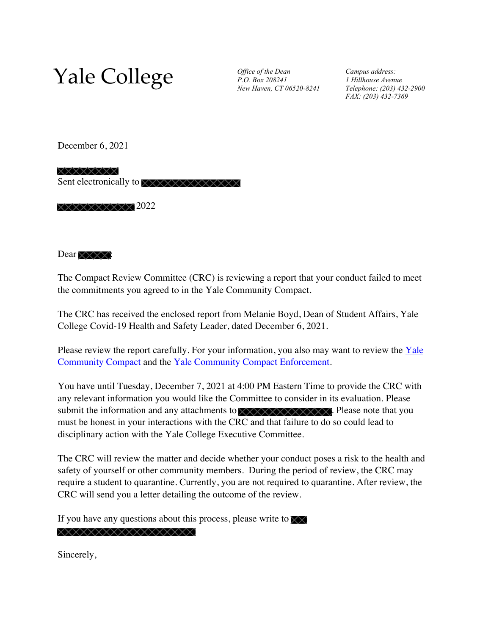## Yale College *Office of the Dean*

*P.O. Box 208241 New Haven, CT 06520-8241* *Campus address: 1 Hillhouse Avenue Telephone: (203) 432-2900 FAX: (203) 432-7369*

December 6, 2021

XXXXXXXX Sent electronically to XXXXXXXXXXXX

 $\times\times\times\times\times\times\times\times$ 2022

Dear  $\times \times \times \times$ :

The Compact Review Committee (CRC) is reviewing a report that your conduct failed to meet the commitments you agreed to in the Yale Community Compact.

The CRC has received the enclosed report from Melanie Boyd, Dean of Student Affairs, Yale College Covid-19 Health and Safety Leader, dated December 6, 2021.

Please review the report carefully. For your information, you also may want to review the  $Yale$  $Yale$  $Yale$ </u> [Community Compact](https://registrar.yale.edu/compact) and the [Yale Community Compact Enforcement.](https://registrar.yale.edu/rights-privacy/yale-community-compact-enforcement)

You have until Tuesday, December 7, 2021 at 4:00 PM Eastern Time to provide the CRC with any relevant information you would like the Committee to consider in its evaluation. Please submit the information and any attachments to  $\overline{\times}\times\overline{\times}\times\overline{\times}\times\overline{\times}\times\overline{\times}$ . Please note that you must be honest in your interactions with the CRC and that failure to do so could lead to disciplinary action with the Yale College Executive Committee.

The CRC will review the matter and decide whether your conduct poses a risk to the health and safety of yourself or other community members. During the period of review, the CRC may require a student to quarantine. Currently, you are not required to quarantine. After review, the CRC will send you a letter detailing the outcome of the review.

If you have any questions about this process, please write to  $\sqrt{\chi}$ 

XXXXXXXXXXXXXXXXX

Sincerely,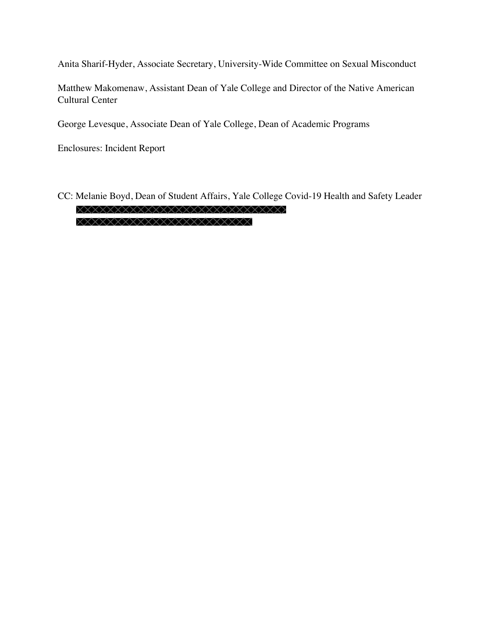Anita Sharif-Hyder, Associate Secretary, University-Wide Committee on Sexual Misconduct

Matthew Makomenaw, Assistant Dean of Yale College and Director of the Native American Cultural Center

George Levesque, Associate Dean of Yale College, Dean of Academic Programs

Enclosures: Incident Report

CC: Melanie Boyd, Dean of Student Affairs, Yale College Covid-19 Health and Safety Leader XXXXXXXXXXXXXXXXXXXXXXXXXX XXXXXXXXXXXXXXXXXXXXXXXX